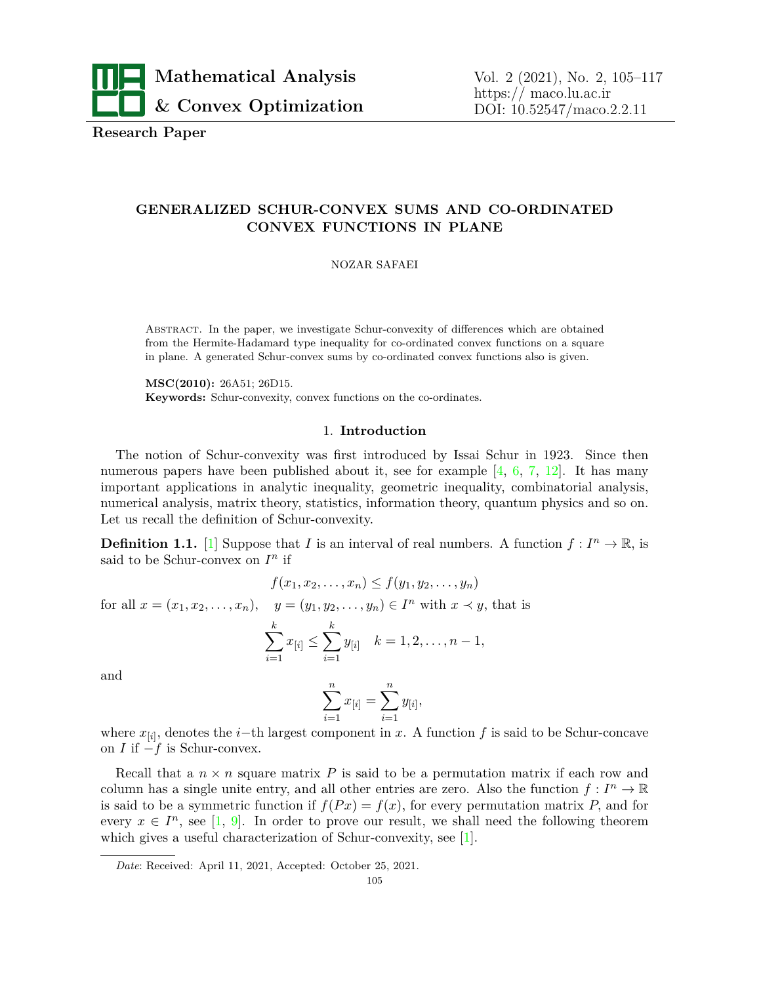

**Research Paper**

# **GENERALIZED SCHUR-CONVEX SUMS AND CO-ORDINATED CONVEX FUNCTIONS IN PLANE**

NOZAR SAFAEI

Abstract. In the paper, we investigate Schur-convexity of differences which are obtained from the Hermite-Hadamard type inequality for co-ordinated convex functions on a square in plane. A generated Schur-convex sums by co-ordinated convex functions also is given.

**MSC(2010):** 26A51; 26D15. **Keywords:** Schur-convexity, convex functions on the co-ordinates.

## 1. **Introduction**

The notion of Schur-convexity was first introduced by Issai Schur in 1923. Since then numerous papers have been published about it, see for example  $[4, 6, 7, 12]$  $[4, 6, 7, 12]$  $[4, 6, 7, 12]$  $[4, 6, 7, 12]$  $[4, 6, 7, 12]$  $[4, 6, 7, 12]$  $[4, 6, 7, 12]$  $[4, 6, 7, 12]$  $[4, 6, 7, 12]$ . It has many important applications in analytic inequality, geometric inequality, combinatorial analysis, numerical analysis, matrix theory, statistics, information theory, quantum physics and so on. Let us recall the definition of Schur-convexity.

**Definition [1](#page-12-4).1.** [1] Suppose that *I* is an interval of real numbers. A function  $f: I^n \to \mathbb{R}$ , is said to be Schur-convex on  $I<sup>n</sup>$  if

$$
f(x_1, x_2, \dots, x_n) \le f(y_1, y_2, \dots, y_n)
$$
  
for all  $x = (x_1, x_2, \dots, x_n), y = (y_1, y_2, \dots, y_n) \in I^n$  with  $x \prec y$ , that is  

$$
\sum_{i=1}^k x_{[i]} \le \sum_{i=1}^k y_{[i]} \quad k = 1, 2, \dots, n - 1,
$$
  
and

$$
\sum_{i=1}^{n} x_{[i]} = \sum_{i=1}^{n} y_{[i]},
$$

where  $x_{[i]}$ , denotes the *i*−th largest component in *x*. A function *f* is said to be Schur-concave on *I* if *−f* is Schur-convex.

Recall that a  $n \times n$  square matrix  $P$  is said to be a permutation matrix if each row and column has a single unite entry, and all other entries are zero. Also the function  $f: I^n \to \mathbb{R}$ is said to be a symmetric function if  $f(Px) = f(x)$ , for every permutation matrix *P*, and for every  $x \in I^n$ , see [\[1,](#page-12-4) [9](#page-12-5)]. In order to prove our result, we shall need the following theorem which gives a useful characterization of Schur-convexity, see [\[1\]](#page-12-4).

*Date*: Received: April 11, 2021, Accepted: October 25, 2021.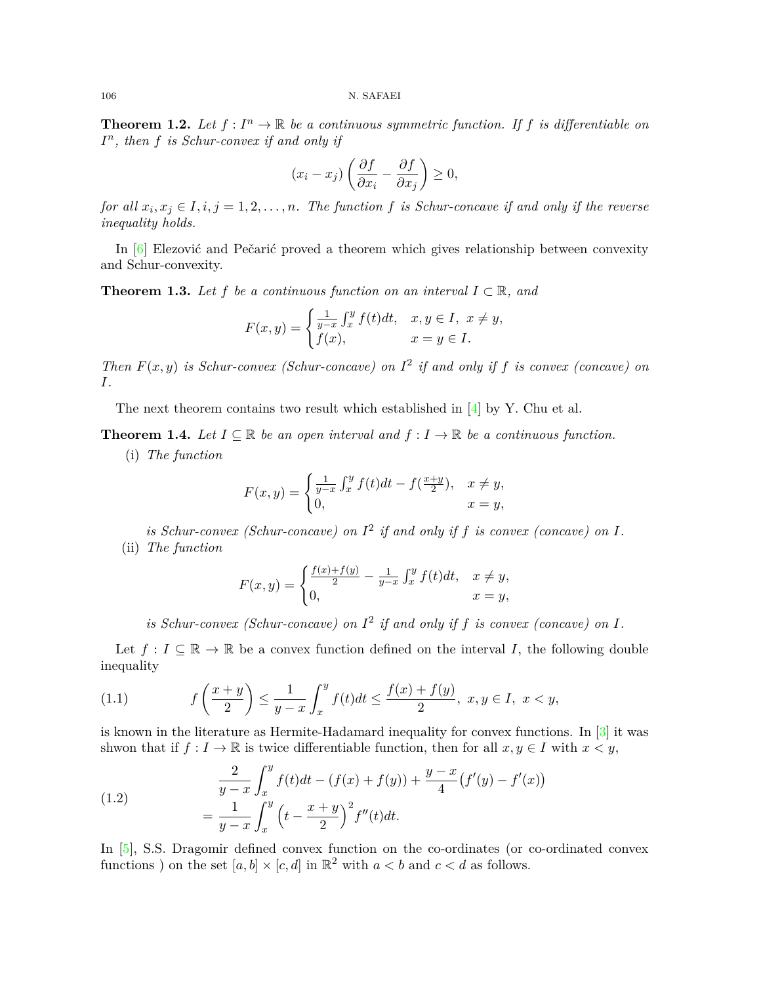<span id="page-1-1"></span>**Theorem 1.2.** Let  $f: I^n \to \mathbb{R}$  be a continuous symmetric function. If  $f$  is differentiable on *I n , then f is Schur-convex if and only if*

$$
(x_i - x_j) \left( \frac{\partial f}{\partial x_i} - \frac{\partial f}{\partial x_j} \right) \ge 0,
$$

*for all*  $x_i, x_j \in I, i, j = 1, 2, \ldots, n$ *. The function f is Schur-concave if and only if the reverse inequality holds.*

In [\[6\]](#page-12-1) Elezović and Pečarić proved a theorem which gives relationship between convexity and Schur-convexity.

**Theorem 1.3.** Let  $f$  be a continuous function on an interval  $I \subset \mathbb{R}$ , and

$$
F(x,y) = \begin{cases} \frac{1}{y-x} \int_x^y f(t)dt, & x, y \in I, \ x \neq y, \\ f(x), & x = y \in I. \end{cases}
$$

*Then*  $F(x, y)$  *is Schur-convex (Schur-concave) on*  $I^2$  *if and only if f is convex (concave) on I.*

Thenext theorem contains two result which established in  $[4]$  $[4]$  $[4]$  by Y. Chu et al.

<span id="page-1-3"></span>**Theorem 1.4.** Let  $I \subseteq \mathbb{R}$  be an open interval and  $f : I \to \mathbb{R}$  be a continuous function.

(i) *The function*

$$
F(x,y) = \begin{cases} \frac{1}{y-x} \int_x^y f(t)dt - f(\frac{x+y}{2}), & x \neq y, \\ 0, & x = y, \end{cases}
$$

is Schur-convex (Schur-concave) on  $I^2$  if and only if f is convex (concave) on  $I$ . (ii) *The function*

$$
F(x,y) = \begin{cases} \frac{f(x) + f(y)}{2} - \frac{1}{y-x} \int_x^y f(t)dt, & x \neq y, \\ 0, & x = y, \end{cases}
$$

<span id="page-1-0"></span>is Schur-convex (Schur-concave) on  $I^2$  if and only if f is convex (concave) on  $I$ .

Let  $f: I \subseteq \mathbb{R} \to \mathbb{R}$  be a convex function defined on the interval *I*, the following double inequality

(1.1) 
$$
f\left(\frac{x+y}{2}\right) \le \frac{1}{y-x} \int_x^y f(t)dt \le \frac{f(x)+f(y)}{2}, \ x, y \in I, \ x < y,
$$

is known in the literature as Hermite-Hadamard inequality for convex functions. In [\[3\]](#page-12-6) it was shwon that if  $f: I \to \mathbb{R}$  is twice differentiable function, then for all  $x, y \in I$  with  $x < y$ ,

<span id="page-1-2"></span>(1.2) 
$$
\frac{2}{y-x} \int_{x}^{y} f(t)dt - (f(x) + f(y)) + \frac{y-x}{4} (f'(y) - f'(x))
$$

$$
= \frac{1}{y-x} \int_{x}^{y} \left(t - \frac{x+y}{2}\right)^{2} f''(t)dt.
$$

In [[5](#page-12-7)], S.S. Dragomir defined convex function on the co-ordinates (or co-ordinated convex functions ) on the set  $[a, b] \times [c, d]$  in  $\mathbb{R}^2$  with  $a < b$  and  $c < d$  as follows.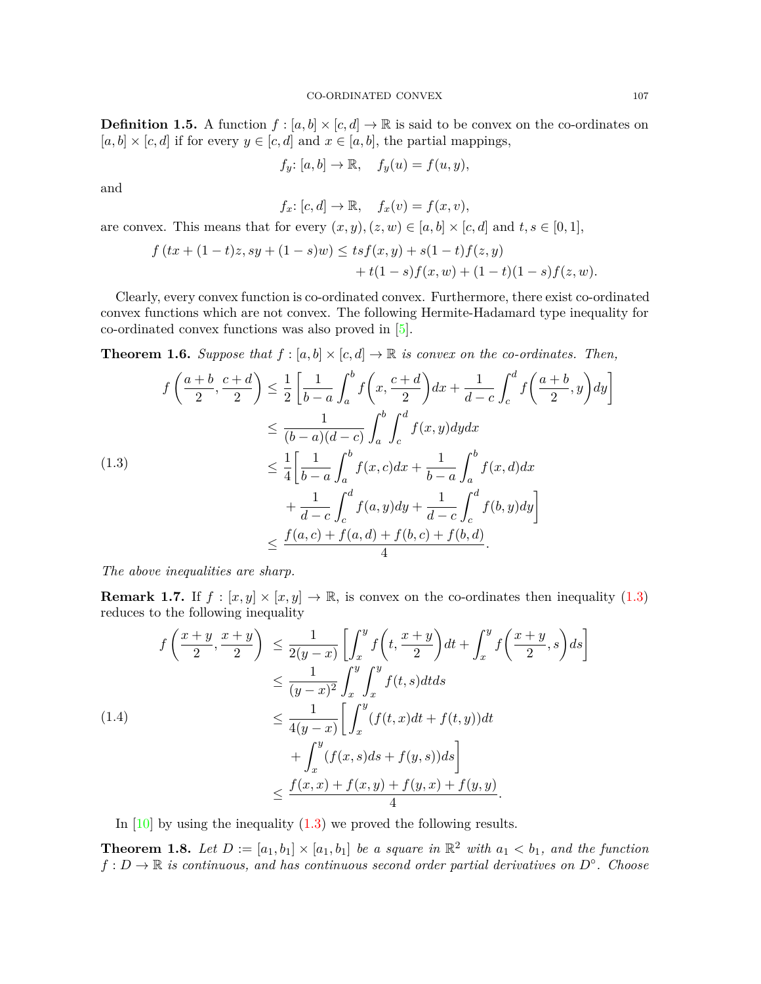**Definition 1.5.** A function  $f : [a, b] \times [c, d] \rightarrow \mathbb{R}$  is said to be convex on the co-ordinates on  $[a, b] \times [c, d]$  if for every  $y \in [c, d]$  and  $x \in [a, b]$ , the partial mappings,

$$
f_y: [a, b] \to \mathbb{R}, \quad f_y(u) = f(u, y),
$$

and

$$
f_x \colon [c, d] \to \mathbb{R}, \quad f_x(v) = f(x, v),
$$

are convex. This means that for every  $(x, y), (z, w) \in [a, b] \times [c, d]$  and  $t, s \in [0, 1]$ ,

$$
f(tx + (1-t)z, sy + (1-s)w) \le tsf(x, y) + s(1-t)f(z, y) + t(1-s)f(x, w) + (1-t)(1-s)f(z, w).
$$

Clearly, every convex function is co-ordinated convex. Furthermore, there exist co-ordinated convex functions which are not convex. The following Hermite-Hadamard type inequality for co-ordinated convex functions was also proved in [[5](#page-12-7)].

**Theorem 1.6.** *Suppose that*  $f : [a, b] \times [c, d] \rightarrow \mathbb{R}$  *is convex on the co-ordinates. Then,* 

<span id="page-2-0"></span>
$$
f\left(\frac{a+b}{2}, \frac{c+d}{2}\right) \le \frac{1}{2} \left[ \frac{1}{b-a} \int_a^b f\left(x, \frac{c+d}{2}\right) dx + \frac{1}{d-c} \int_c^d f\left(\frac{a+b}{2}, y\right) dy \right]
$$
  
\n
$$
\le \frac{1}{(b-a)(d-c)} \int_a^b \int_c^d f(x, y) dy dx
$$
  
\n
$$
\le \frac{1}{4} \left[ \frac{1}{b-a} \int_a^b f(x, c) dx + \frac{1}{b-a} \int_a^b f(x, d) dx
$$
  
\n
$$
+ \frac{1}{d-c} \int_c^d f(a, y) dy + \frac{1}{d-c} \int_c^d f(b, y) dy \right]
$$
  
\n
$$
\le \frac{f(a, c) + f(a, d) + f(b, c) + f(b, d)}{4}.
$$

*The above inequalities are sharp.*

**Remark 1.7.** If  $f : [x, y] \times [x, y] \to \mathbb{R}$ , is convex on the co-ordinates then inequality ([1.3\)](#page-2-0) reduces to the following inequality

<span id="page-2-2"></span>
$$
f\left(\frac{x+y}{2}, \frac{x+y}{2}\right) \le \frac{1}{2(y-x)} \left[ \int_x^y f\left(t, \frac{x+y}{2}\right) dt + \int_x^y f\left(\frac{x+y}{2}, s\right) ds \right]
$$
  
\n
$$
\le \frac{1}{(y-x)^2} \int_x^y \int_x^y f(t, s) dt ds
$$
  
\n
$$
\le \frac{1}{4(y-x)} \left[ \int_x^y (f(t, x) dt + f(t, y)) dt + \int_x^y (f(x, s) ds + f(y, s)) ds \right]
$$
  
\n
$$
\le \frac{f(x, x) + f(x, y) + f(y, x) + f(y, y)}{4}.
$$

In  $[10]$  $[10]$  by using the inequality  $(1.3)$  $(1.3)$  $(1.3)$  we proved the following results.

<span id="page-2-1"></span>**Theorem 1.8.** Let  $D := [a_1, b_1] \times [a_1, b_1]$  be a square in  $\mathbb{R}^2$  with  $a_1 < b_1$ , and the function *f* : *D →* R *is continuous, and has continuous second order partial derivatives on D◦ . Choose*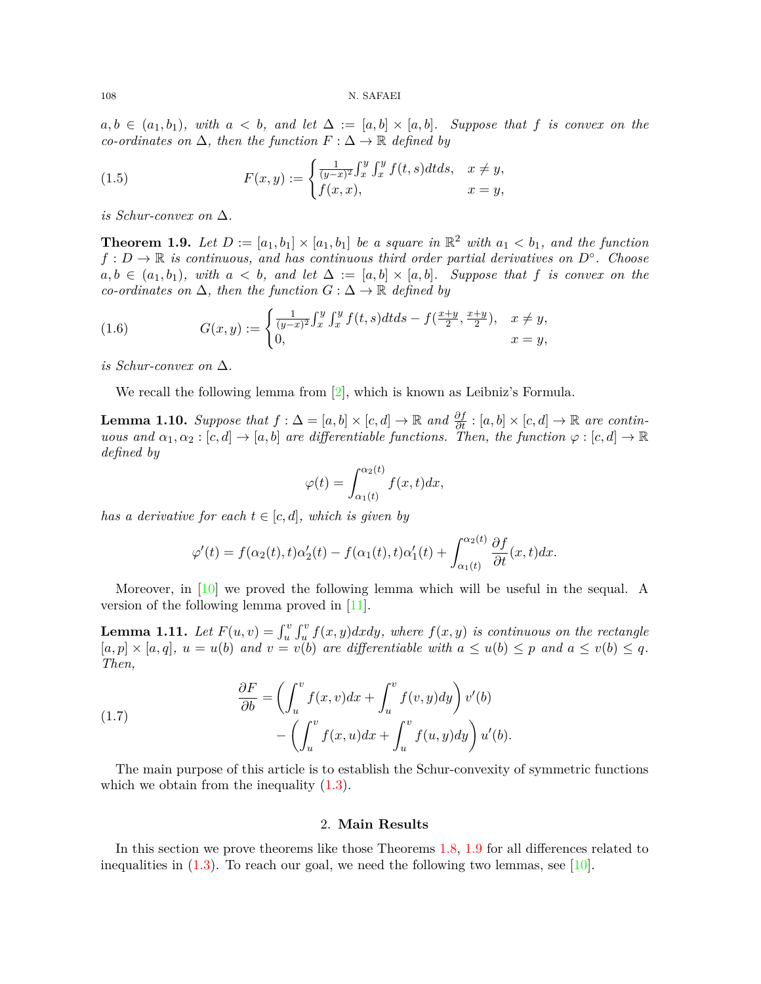108 N. SAFAEI

 $a, b \in (a_1, b_1)$ *, with*  $a < b$ *, and let*  $\Delta := [a, b] \times [a, b]$ *. Suppose that f is convex on the co-ordinates on* ∆*, then the function F* : ∆ *→* R *defined by*

<span id="page-3-3"></span>(1.5) 
$$
F(x,y) := \begin{cases} \frac{1}{(y-x)^2} \int_x^y \int_x^y f(t,s) dt ds, & x \neq y, \\ f(x,x), & x = y, \end{cases}
$$

*is Schur-convex on* ∆*.*

<span id="page-3-0"></span>**Theorem 1.9.** Let  $D := [a_1, b_1] \times [a_1, b_1]$  be a square in  $\mathbb{R}^2$  with  $a_1 < b_1$ , and the function *f* : *D →* R *is continuous, and has continuous third order partial derivatives on D◦ . Choose*  $a, b \in (a_1, b_1)$ *, with*  $a < b$ *, and let*  $\Delta := [a, b] \times [a, b]$ *. Suppose that f is convex on the co-ordinates on* ∆*, then the function G* : ∆ *→* R *defined by*

<span id="page-3-2"></span>(1.6) 
$$
G(x,y) := \begin{cases} \frac{1}{(y-x)^2} \int_x^y \int_x^y f(t,s) dt ds - f(\frac{x+y}{2}, \frac{x+y}{2}), & x \neq y, \\ 0, & x = y, \end{cases}
$$

*is Schur-convex on* ∆*.*

We recall the following lemma from [[2](#page-12-9)], which is known as Leibniz's Formula.

<span id="page-3-1"></span>**Lemma 1.10.** *Suppose that*  $f : \Delta = [a, b] \times [c, d] \rightarrow \mathbb{R}$  *and*  $\frac{\partial f}{\partial t} : [a, b] \times [c, d] \rightarrow \mathbb{R}$  *are continuous and*  $\alpha_1, \alpha_2 : [c, d] \to [a, b]$  *are differentiable functions. Then, the function*  $\varphi : [c, d] \to \mathbb{R}$ *defined by*

$$
\varphi(t) = \int_{\alpha_1(t)}^{\alpha_2(t)} f(x, t) dx,
$$

*has a derivative for each*  $t \in [c, d]$ *, which is given by* 

$$
\varphi'(t) = f(\alpha_2(t), t)\alpha'_2(t) - f(\alpha_1(t), t)\alpha'_1(t) + \int_{\alpha_1(t)}^{\alpha_2(t)} \frac{\partial f}{\partial t}(x, t) dx.
$$

Moreover, in [\[10\]](#page-12-8) we proved the following lemma which will be useful in the sequal. A version of the following lemma proved in [[11\]](#page-12-10).

**Lemma 1.11.** Let  $F(u, v) = \int_u^v \int_u^v f(x, y) dx dy$ , where  $f(x, y)$  is continuous on the rectangle  $[a, p] \times [a, q], u = u(b)$  and  $v = v(b)$  are differentiable with  $a \le u(b) \le p$  and  $a \le v(b) \le q$ . *Then,*

(1.7) 
$$
\frac{\partial F}{\partial b} = \left(\int_u^v f(x,v)dx + \int_u^v f(v,y)dy\right)v'(b) - \left(\int_u^v f(x,u)dx + \int_u^v f(u,y)dy\right)u'(b).
$$

The main purpose of this article is to establish the Schur-convexity of symmetric functions which we obtain from the inequality  $(1.3)$  $(1.3)$ .

#### 2. **Main Results**

In this section we prove theorems like those Theorems [1.8,](#page-2-1) [1.9](#page-3-0) for all differences related to inequalities in  $(1.3)$  $(1.3)$ . To reach our goal, we need the following two lemmas, see [[10\]](#page-12-8).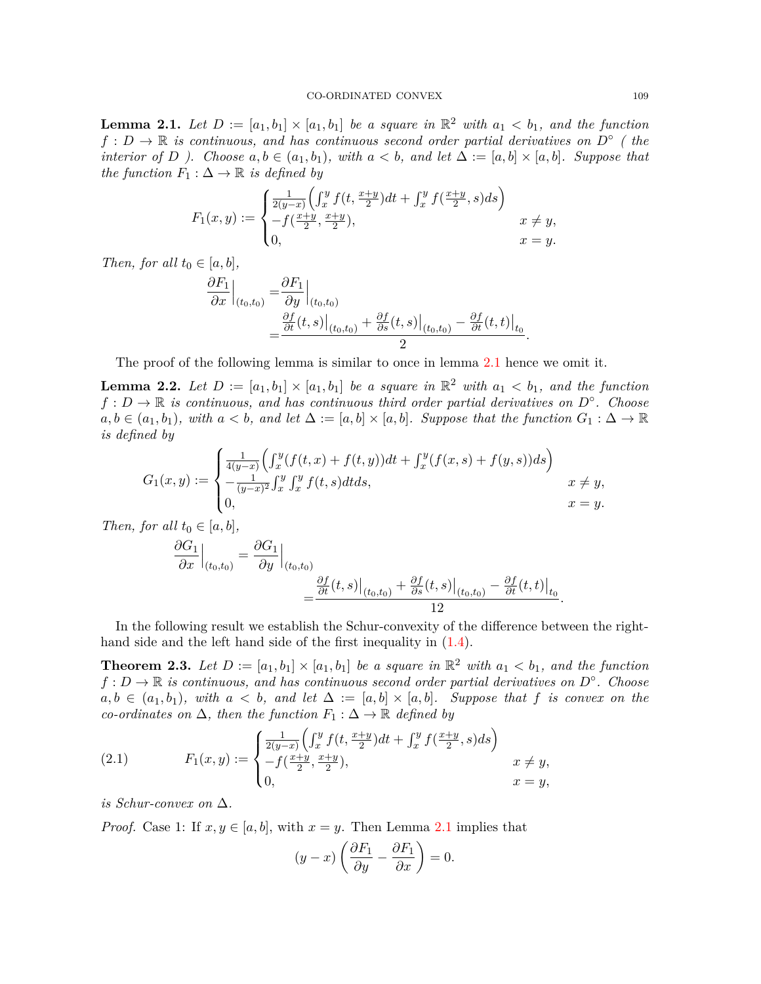<span id="page-4-0"></span>**Lemma 2.1.** Let  $D := [a_1, b_1] \times [a_1, b_1]$  be a square in  $\mathbb{R}^2$  with  $a_1 < b_1$ , and the function  $f: D \to \mathbb{R}$  *is continuous, and has continuous second order partial derivatives on*  $D^\circ$  (*the interior of D ).* Choose  $a, b \in (a_1, b_1)$ , with  $a < b$ , and let  $\Delta := [a, b] \times [a, b]$ . Suppose that *the function*  $F_1: \Delta \to \mathbb{R}$  *is defined by* 

<span id="page-4-1"></span>
$$
F_1(x,y) := \begin{cases} \frac{1}{2(y-x)} \Big( \int_x^y f(t, \frac{x+y}{2}) dt + \int_x^y f(\frac{x+y}{2}, s) ds \Big) \\ -f(\frac{x+y}{2}, \frac{x+y}{2}), & x \neq y, \\ 0, & x = y. \end{cases}
$$

*Then, for all*  $t_0 \in [a, b]$ *,* 

$$
\frac{\partial F_1}{\partial x}\Big|_{(t_0,t_0)} = \frac{\partial F_1}{\partial y}\Big|_{(t_0,t_0)} \n= \frac{\frac{\partial f}{\partial t}(t,s)\Big|_{(t_0,t_0)} + \frac{\partial f}{\partial s}(t,s)\Big|_{(t_0,t_0)} - \frac{\partial f}{\partial t}(t,t)\Big|_{t_0}}{2}.
$$

The proof of the following lemma is similar to once in lemma [2.1](#page-4-0) hence we omit it.

<span id="page-4-2"></span>**Lemma 2.2.** Let  $D := [a_1, b_1] \times [a_1, b_1]$  be a square in  $\mathbb{R}^2$  with  $a_1 < b_1$ , and the function *f* : *D →* R *is continuous, and has continuous third order partial derivatives on D◦ . Choose*  $a, b \in (a_1, b_1)$ *, with*  $a < b$ *, and let*  $\Delta := [a, b] \times [a, b]$ *. Suppose that the function*  $G_1 : \Delta \to \mathbb{R}$ *is defined by*

$$
G_1(x,y) := \begin{cases} \frac{1}{4(y-x)} \Big( \int_x^y (f(t,x) + f(t,y)) dt + \int_x^y (f(x,s) + f(y,s)) ds \Big) \\ -\frac{1}{(y-x)^2} \int_x^y \int_x^y f(t,s) dt ds, \\ 0, \end{cases} \quad x \neq y, \quad x = y.
$$

*Then, for all*  $t_0 \in [a, b]$ *,* 

$$
\frac{\partial G_1}{\partial x}\Big|_{(t_0,t_0)} = \frac{\partial G_1}{\partial y}\Big|_{(t_0,t_0)} \n= \frac{\frac{\partial f}{\partial t}(t,s)\Big|_{(t_0,t_0)} + \frac{\partial f}{\partial s}(t,s)\Big|_{(t_0,t_0)} - \frac{\partial f}{\partial t}(t,t)\Big|_{t_0}} \n= \frac{1}{2}
$$

In the following result we establish the Schur-convexity of the difference between the righthand side and the left hand side of the first inequality in  $(1.4)$  $(1.4)$ .

<span id="page-4-3"></span>**Theorem 2.3.** Let  $D := [a_1, b_1] \times [a_1, b_1]$  be a square in  $\mathbb{R}^2$  with  $a_1 < b_1$ , and the function *f* : *D →* R *is continuous, and has continuous second order partial derivatives on D◦ . Choose*  $a, b \in (a_1, b_1)$ *, with*  $a < b$ *, and let*  $\Delta := [a, b] \times [a, b]$ *. Suppose that f is convex on the co-ordinates on*  $\Delta$ *, then the function*  $F_1 : \Delta \rightarrow \mathbb{R}$  *defined by* 

(2.1) 
$$
F_1(x,y) := \begin{cases} \frac{1}{2(y-x)} \left( \int_x^y f(t, \frac{x+y}{2}) dt + \int_x^y f(\frac{x+y}{2}, s) ds \right) \\ -f(\frac{x+y}{2}, \frac{x+y}{2}), & x \neq y, \\ 0, & x = y, \end{cases}
$$

*is Schur-convex on* ∆*.*

*Proof.* Case 1: If  $x, y \in [a, b]$ , with  $x = y$ . Then Lemma [2.1](#page-4-0) implies that

$$
(y-x)\left(\frac{\partial F_1}{\partial y} - \frac{\partial F_1}{\partial x}\right) = 0.
$$

*.*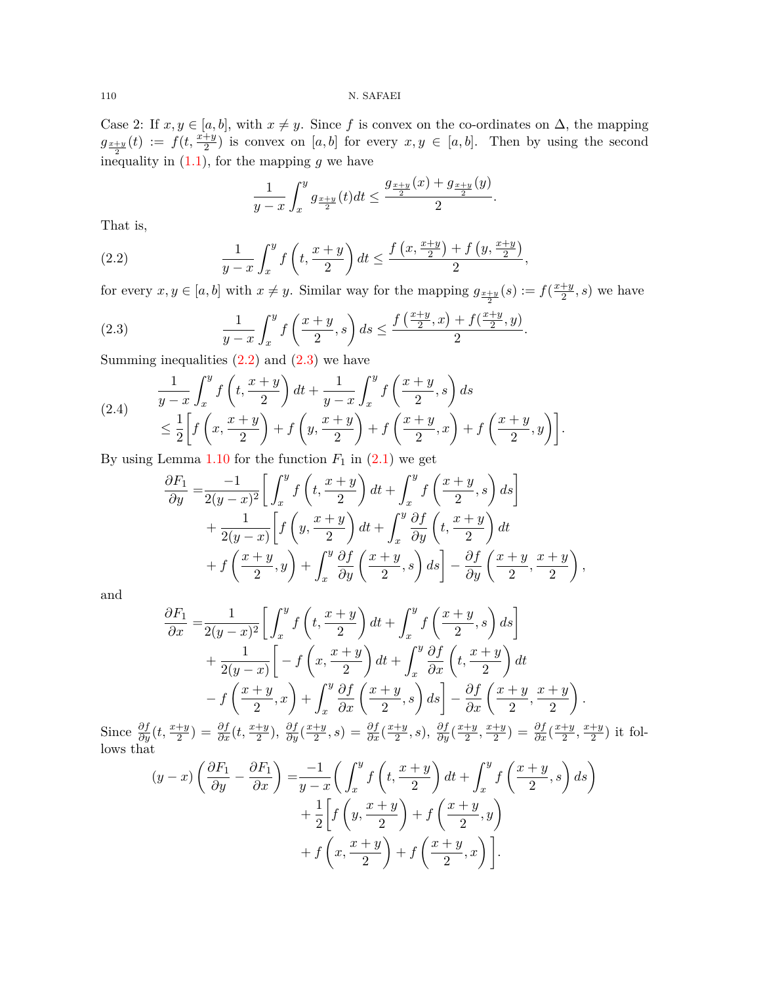Case 2: If  $x, y \in [a, b]$ , with  $x \neq y$ . Since *f* is convex on the co-ordinates on  $\Delta$ , the mapping  $g_{\frac{x+y}{2}}(t) := f(t, \frac{x+y}{2})$  is convex on [*a, b*] for every  $x, y \in [a, b]$ . Then by using the second inequality in  $(1.1)$  $(1.1)$ , for the mapping  $g$  we have

<span id="page-5-0"></span>
$$
\frac{1}{y-x} \int_{x}^{y} g_{\frac{x+y}{2}}(t) dt \le \frac{g_{\frac{x+y}{2}}(x) + g_{\frac{x+y}{2}}(y)}{2}.
$$

That is,

(2.2) 
$$
\frac{1}{y-x} \int_{x}^{y} f\left(t, \frac{x+y}{2}\right) dt \le \frac{f\left(x, \frac{x+y}{2}\right) + f\left(y, \frac{x+y}{2}\right)}{2},
$$

for every  $x, y \in [a, b]$  with  $x \neq y$ . Similar way for the mapping  $g_{\frac{x+y}{2}}(s) := f(\frac{x+y}{2})$  $\frac{+y}{2}, s)$  we have

<span id="page-5-1"></span>(2.3) 
$$
\frac{1}{y-x} \int_{x}^{y} f\left(\frac{x+y}{2}, s\right) ds \leq \frac{f\left(\frac{x+y}{2}, x\right) + f\left(\frac{x+y}{2}, y\right)}{2}.
$$

Summing inequalities  $(2.2)$  $(2.2)$  and  $(2.3)$  $(2.3)$  we have

<span id="page-5-2"></span>(2.4) 
$$
\frac{1}{y-x} \int_x^y f\left(t, \frac{x+y}{2}\right) dt + \frac{1}{y-x} \int_x^y f\left(\frac{x+y}{2}, s\right) ds
$$
  
\n
$$
\leq \frac{1}{2} \left[ f\left(x, \frac{x+y}{2}\right) + f\left(y, \frac{x+y}{2}\right) + f\left(\frac{x+y}{2}, x\right) + f\left(\frac{x+y}{2}, y\right) \right].
$$

By using Lemma  $1.10$  for the function  $F_1$  in  $(2.1)$  $(2.1)$  we get

$$
\frac{\partial F_1}{\partial y} = \frac{-1}{2(y-x)^2} \left[ \int_x^y f\left(t, \frac{x+y}{2}\right) dt + \int_x^y f\left(\frac{x+y}{2}, s\right) ds \right] \n+ \frac{1}{2(y-x)} \left[ f\left(y, \frac{x+y}{2}\right) dt + \int_x^y \frac{\partial f}{\partial y} \left(t, \frac{x+y}{2}\right) dt \n+ f\left(\frac{x+y}{2}, y\right) + \int_x^y \frac{\partial f}{\partial y} \left(\frac{x+y}{2}, s\right) ds \right] - \frac{\partial f}{\partial y} \left(\frac{x+y}{2}, \frac{x+y}{2}\right),
$$

and

$$
\frac{\partial F_1}{\partial x} = \frac{1}{2(y-x)^2} \left[ \int_x^y f\left(t, \frac{x+y}{2}\right) dt + \int_x^y f\left(\frac{x+y}{2}, s\right) ds \right] \n+ \frac{1}{2(y-x)} \left[ -f\left(x, \frac{x+y}{2}\right) dt + \int_x^y \frac{\partial f}{\partial x} \left(t, \frac{x+y}{2}\right) dt \right] \n- f\left(\frac{x+y}{2}, x\right) + \int_x^y \frac{\partial f}{\partial x} \left(\frac{x+y}{2}, s\right) ds \right] - \frac{\partial f}{\partial x} \left(\frac{x+y}{2}, \frac{x+y}{2}\right).
$$

Since  $\frac{\partial f}{\partial y}(t, \frac{x+y}{2}) = \frac{\partial f}{\partial x}(t, \frac{x+y}{2}), \frac{\partial f}{\partial y}(\frac{x+y}{2})$  $\frac{dy}{2}$ , *s*) =  $\frac{\partial f}{\partial x}(\frac{x+y}{2})$  $\frac{dy}{2}$ , *s*),  $\frac{\partial f}{\partial y}$  $\left(\frac{x+y}{2}\right)$  $\frac{y}{2}$ ,  $\frac{x+y}{2}$  $\frac{dy}{2}$ ) =  $\frac{\partial f}{\partial x}(\frac{x+y}{2})$  $\frac{y}{2}$ ,  $\frac{x+y}{2}$  $\frac{+y}{2}$ ) it follows that

$$
(y-x)\left(\frac{\partial F_1}{\partial y} - \frac{\partial F_1}{\partial x}\right) = \frac{-1}{y-x}\left(\int_x^y f\left(t, \frac{x+y}{2}\right) dt + \int_x^y f\left(\frac{x+y}{2}, s\right) ds\right) + \frac{1}{2}\left[f\left(y, \frac{x+y}{2}\right) + f\left(\frac{x+y}{2}, y\right) + f\left(x, \frac{x+y}{2}\right) + f\left(\frac{x+y}{2}, x\right)\right].
$$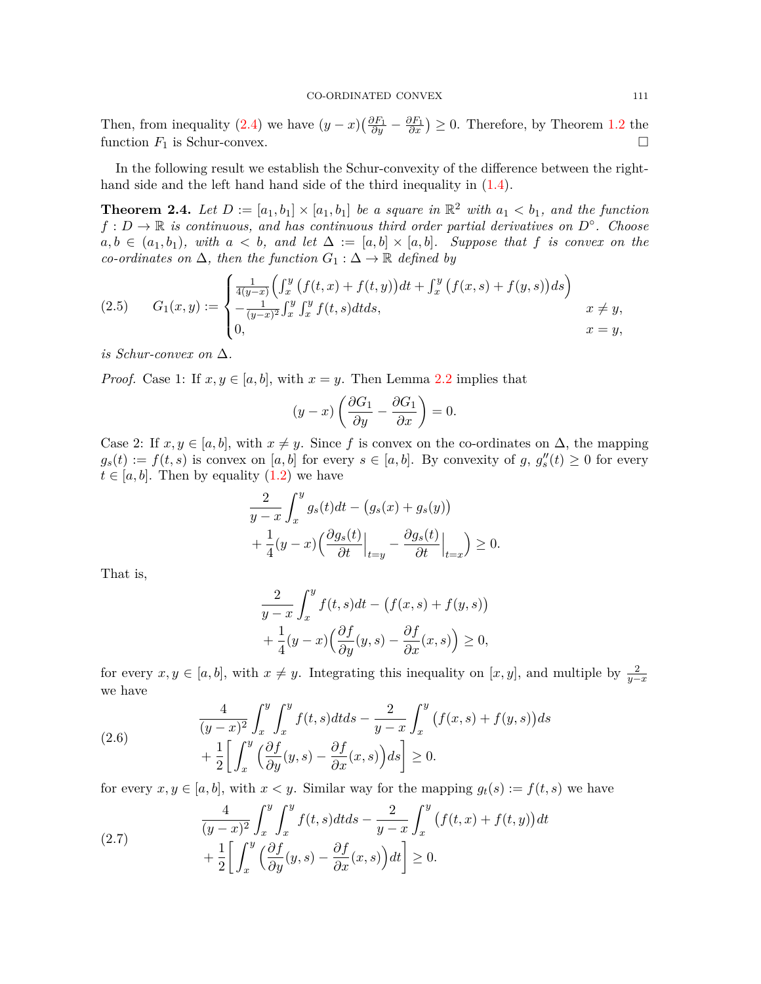Then, from inequality [\(2.4](#page-5-2)) we have  $(y-x)(\frac{\partial F_1}{\partial y} - \frac{\partial F_1}{\partial x}) \ge 0$ . Therefore, by Theorem [1.2](#page-1-1) the function  $F_1$  is Schur-convex.  $\Box$ 

In the following result we establish the Schur-convexity of the difference between the righthand side and the left hand hand side of the third inequality in ([1.4\)](#page-2-2).

<span id="page-6-3"></span>**Theorem 2.4.** Let  $D := [a_1, b_1] \times [a_1, b_1]$  be a square in  $\mathbb{R}^2$  with  $a_1 < b_1$ , and the function *f* : *D →* R *is continuous, and has continuous third order partial derivatives on D◦ . Choose*  $a, b \in (a_1, b_1)$ *, with*  $a < b$ *, and let*  $\Delta := [a, b] \times [a, b]$ *. Suppose that f is convex on the co-ordinates on*  $\Delta$ *, then the function*  $G_1 : \Delta \rightarrow \mathbb{R}$  *defined by* 

<span id="page-6-2"></span>(2.5) 
$$
G_1(x,y) := \begin{cases} \frac{1}{4(y-x)} \Big( \int_x^y (f(t,x) + f(t,y)) dt + \int_x^y (f(x,s) + f(y,s)) ds \Big) \\ -\frac{1}{(y-x)^2} \int_x^y \int_x^y f(t,s) dt ds, & x \neq y, \\ 0, & x = y, \end{cases}
$$

*is Schur-convex on* ∆*.*

*Proof.* Case 1: If  $x, y \in [a, b]$ , with  $x = y$ . Then Lemma [2.2](#page-4-2) implies that

$$
(y-x)\left(\frac{\partial G_1}{\partial y} - \frac{\partial G_1}{\partial x}\right) = 0.
$$

Case 2: If  $x, y \in [a, b]$ , with  $x \neq y$ . Since f is convex on the co-ordinates on  $\Delta$ , the mapping  $g_s(t) := f(t, s)$  is convex on [*a, b*] for every  $s \in [a, b]$ . By convexity of  $g, g''_s(t) \geq 0$  for every  $t \in [a, b]$ . Then by equality  $(1.2)$  $(1.2)$  we have

$$
\frac{2}{y-x} \int_x^y g_s(t)dt - (g_s(x) + g_s(y))
$$
  
+ 
$$
\frac{1}{4}(y-x) \left(\frac{\partial g_s(t)}{\partial t}\Big|_{t=y} - \frac{\partial g_s(t)}{\partial t}\Big|_{t=x}\right) \ge 0.
$$

That is,

$$
\frac{2}{y-x} \int_{x}^{y} f(t,s)dt - (f(x,s) + f(y,s))
$$

$$
+ \frac{1}{4}(y-x) \Big( \frac{\partial f}{\partial y}(y,s) - \frac{\partial f}{\partial x}(x,s) \Big) \ge 0,
$$

for every  $x, y \in [a, b]$ , with  $x \neq y$ . Integrating this inequality on  $[x, y]$ , and multiple by  $\frac{2}{y-x}$ we have

<span id="page-6-0"></span>(2.6) 
$$
\frac{4}{(y-x)^2} \int_x^y \int_x^y f(t,s) dt ds - \frac{2}{y-x} \int_x^y (f(x,s) + f(y,s)) ds
$$

$$
+ \frac{1}{2} \left[ \int_x^y \left( \frac{\partial f}{\partial y}(y,s) - \frac{\partial f}{\partial x}(x,s) \right) ds \right] \ge 0.
$$

for every  $x, y \in [a, b]$ , with  $x < y$ . Similar way for the mapping  $g_t(s) := f(t, s)$  we have

<span id="page-6-1"></span>(2.7) 
$$
\frac{4}{(y-x)^2} \int_x^y \int_x^y f(t,s) dt ds - \frac{2}{y-x} \int_x^y (f(t,x) + f(t,y)) dt
$$

$$
+ \frac{1}{2} \left[ \int_x^y \left( \frac{\partial f}{\partial y}(y,s) - \frac{\partial f}{\partial x}(x,s) \right) dt \right] \ge 0.
$$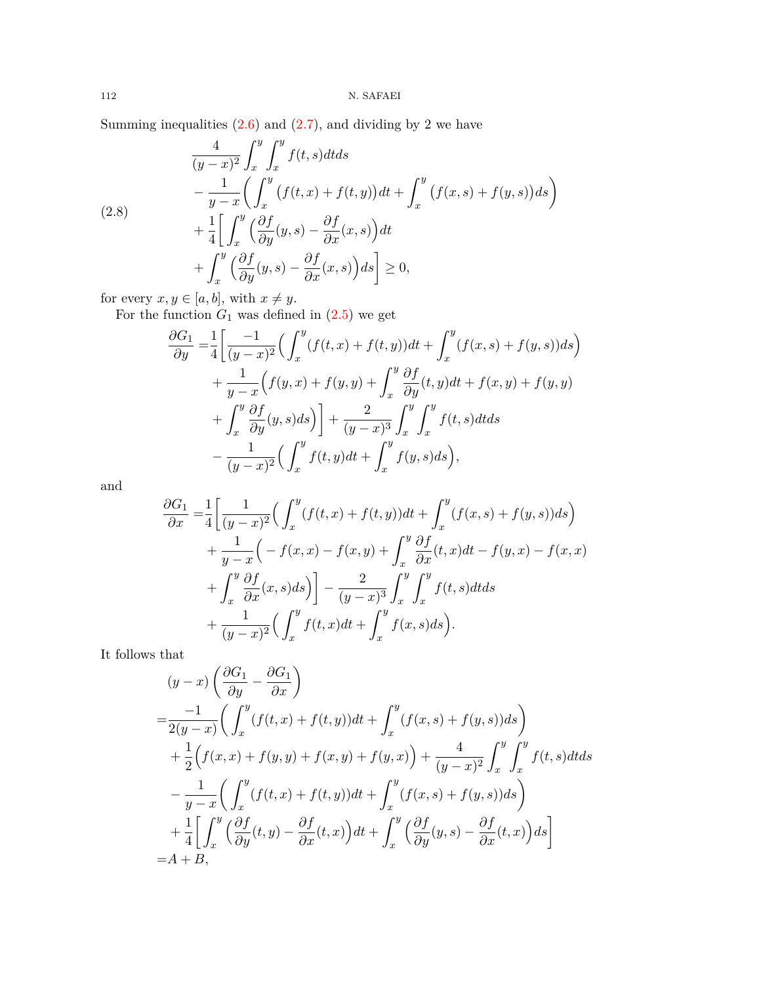Summing inequalities  $(2.6)$  $(2.6)$  and  $(2.7)$  $(2.7)$ , and dividing by 2 we have

<span id="page-7-0"></span>(2.8)  
\n
$$
\frac{4}{(y-x)^2} \int_x^y \int_x^y f(t,s)dt ds
$$
\n
$$
- \frac{1}{y-x} \left( \int_x^y (f(t,x) + f(t,y))dt + \int_x^y (f(x,s) + f(y,s))ds \right)
$$
\n
$$
+ \frac{1}{4} \left[ \int_x^y \left( \frac{\partial f}{\partial y}(y,s) - \frac{\partial f}{\partial x}(x,s) \right)dt + \int_x^y \left( \frac{\partial f}{\partial y}(y,s) - \frac{\partial f}{\partial x}(x,s) \right)ds \right] \ge 0,
$$

for every  $x, y \in [a, b]$ , with  $x \neq y$ .

For the function  $G_1$  was defined in  $(2.5)$  $(2.5)$  $(2.5)$  we get

$$
\frac{\partial G_1}{\partial y} = \frac{1}{4} \left[ \frac{-1}{(y-x)^2} \Big( \int_x^y (f(t,x) + f(t,y))dt + \int_x^y (f(x,s) + f(y,s))ds \Big) + \frac{1}{y-x} \Big( f(y,x) + f(y,y) + \int_x^y \frac{\partial f}{\partial y}(t,y)dt + f(x,y) + f(y,y) + \int_x^y \frac{\partial f}{\partial y}(y,s)ds \Big) \right] + \frac{2}{(y-x)^3} \int_x^y \int_x^y f(t,s)dt ds - \frac{1}{(y-x)^2} \Big( \int_x^y f(t,y)dt + \int_x^y f(y,s)ds \Big),
$$

and

$$
\frac{\partial G_1}{\partial x} = \frac{1}{4} \left[ \frac{1}{(y-x)^2} \Big( \int_x^y (f(t,x) + f(t,y)) dt + \int_x^y (f(x,s) + f(y,s)) ds \Big) + \frac{1}{y-x} \Big( -f(x,x) - f(x,y) + \int_x^y \frac{\partial f}{\partial x}(t,x) dt - f(y,x) - f(x,x) \Big) + \int_x^y \frac{\partial f}{\partial x}(x,s) ds \Big) \right] - \frac{2}{(y-x)^3} \int_x^y \int_x^y f(t,s) dt ds + \frac{1}{(y-x)^2} \Big( \int_x^y f(t,x) dt + \int_x^y f(x,s) ds \Big).
$$

It follows that

$$
(y-x)\left(\frac{\partial G_1}{\partial y} - \frac{\partial G_1}{\partial x}\right)
$$
  
=  $\frac{-1}{2(y-x)}\left(\int_x^y (f(t,x) + f(t,y))dt + \int_x^y (f(x,s) + f(y,s))ds\right)$   
+  $\frac{1}{2}\left(f(x,x) + f(y,y) + f(x,y) + f(y,x)\right) + \frac{4}{(y-x)^2}\int_x^y \int_x^y f(t,s)dtds$   
-  $\frac{1}{y-x}\left(\int_x^y (f(t,x) + f(t,y))dt + \int_x^y (f(x,s) + f(y,s))ds\right)$   
+  $\frac{1}{4}\left[\int_x^y \left(\frac{\partial f}{\partial y}(t,y) - \frac{\partial f}{\partial x}(t,x)\right)dt + \int_x^y \left(\frac{\partial f}{\partial y}(y,s) - \frac{\partial f}{\partial x}(t,x)\right)ds\right]$   
= A + B,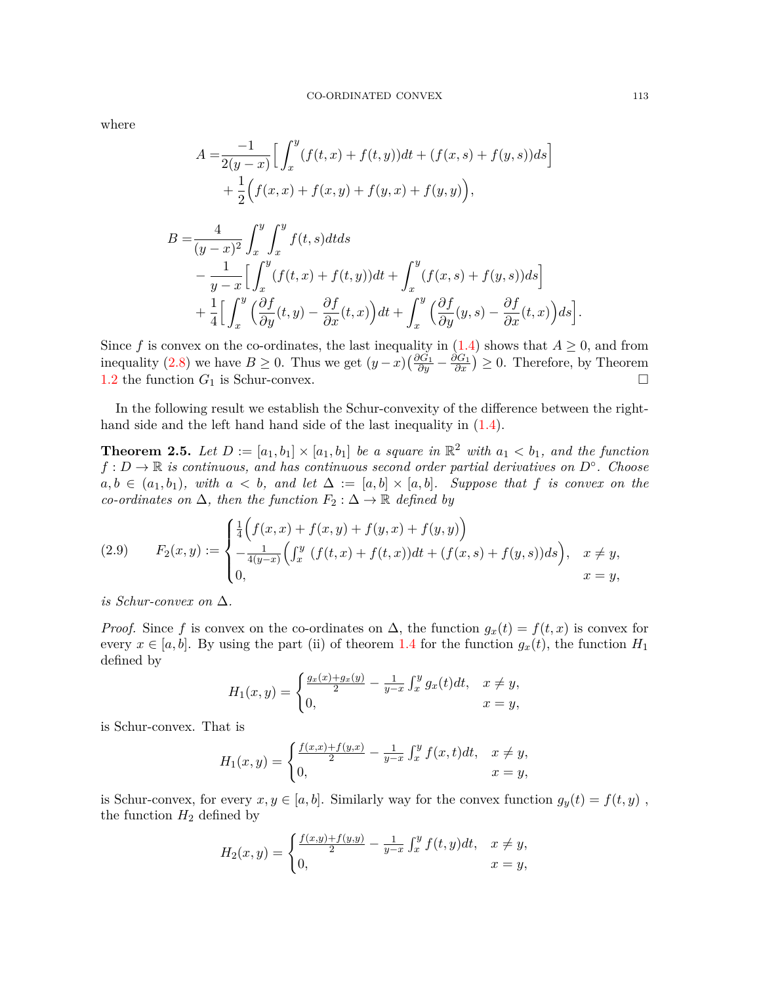where

$$
A = \frac{-1}{2(y-x)} \Big[ \int_x^y (f(t,x) + f(t,y))dt + (f(x,s) + f(y,s))ds \Big] + \frac{1}{2} (f(x,x) + f(x,y) + f(y,x) + f(y,y)),
$$

$$
B = \frac{4}{(y-x)^2} \int_x^y \int_x^y f(t,s)dt ds
$$
  
\n
$$
- \frac{1}{y-x} \Big[ \int_x^y (f(t,x) + f(t,y))dt + \int_x^y (f(x,s) + f(y,s))ds \Big]
$$
  
\n
$$
+ \frac{1}{4} \Big[ \int_x^y \Big( \frac{\partial f}{\partial y}(t,y) - \frac{\partial f}{\partial x}(t,x) \Big) dt + \int_x^y \Big( \frac{\partial f}{\partial y}(y,s) - \frac{\partial f}{\partial x}(t,x) \Big) ds \Big]
$$

Since f is convex on the co-ordinates, the last inequality in  $(1.4)$  $(1.4)$  shows that  $A \geq 0$ , and from inequality [\(2.8](#page-7-0)) we have  $B \ge 0$ . Thus we get  $(y-x)\left(\frac{\partial G_1}{\partial y} - \frac{\partial G_1}{\partial x}\right) \ge 0$ . Therefore, by Theorem [1.2](#page-1-1) the function  $G_1$  is Schur-convex.  $\Box$ 

In the following result we establish the Schur-convexity of the difference between the righthand side and the left hand hand side of the last inequality in  $(1.4)$  $(1.4)$ .

<span id="page-8-1"></span>**Theorem 2.5.** Let  $D := [a_1, b_1] \times [a_1, b_1]$  be a square in  $\mathbb{R}^2$  with  $a_1 < b_1$ , and the function *f* : *D →* R *is continuous, and has continuous second order partial derivatives on D◦ . Choose*  $a, b \in (a_1, b_1)$ *, with*  $a < b$ *, and let*  $\Delta := [a, b] \times [a, b]$ *. Suppose that f is convex on the co-ordinates on*  $\Delta$ *, then the function*  $F_2$  :  $\Delta \rightarrow \mathbb{R}$  *defined by* 

<span id="page-8-0"></span>(2.9) 
$$
F_2(x,y) := \begin{cases} \frac{1}{4} \Big( f(x,x) + f(x,y) + f(y,x) + f(y,y) \Big) \\ -\frac{1}{4(y-x)} \Big( \int_x^y (f(t,x) + f(t,x)) dt + (f(x,s) + f(y,s)) ds \Big), & x \neq y, \\ 0, & x = y, \end{cases}
$$

*is Schur-convex on* ∆*.*

*Proof.* Since f is convex on the co-ordinates on  $\Delta$ , the function  $g_x(t) = f(t, x)$  is convex for every  $x \in [a, b]$ . By using the part (ii) of theorem [1.4](#page-1-3) for the function  $g_x(t)$ , the function  $H_1$ defined by

$$
H_1(x,y) = \begin{cases} \frac{g_x(x) + g_x(y)}{2} - \frac{1}{y-x} \int_x^y g_x(t)dt, & x \neq y, \\ 0, & x = y, \end{cases}
$$

is Schur-convex. That is

$$
H_1(x,y) = \begin{cases} \frac{f(x,x) + f(y,x)}{2} - \frac{1}{y-x} \int_x^y f(x,t)dt, & x \neq y, \\ 0, & x = y, \end{cases}
$$

is Schur-convex, for every  $x, y \in [a, b]$ . Similarly way for the convex function  $g_y(t) = f(t, y)$ , the function  $H_2$  defined by

$$
H_2(x,y) = \begin{cases} \frac{f(x,y) + f(y,y)}{2} - \frac{1}{y-x} \int_x^y f(t,y)dt, & x \neq y, \\ 0, & x = y, \end{cases}
$$

*.*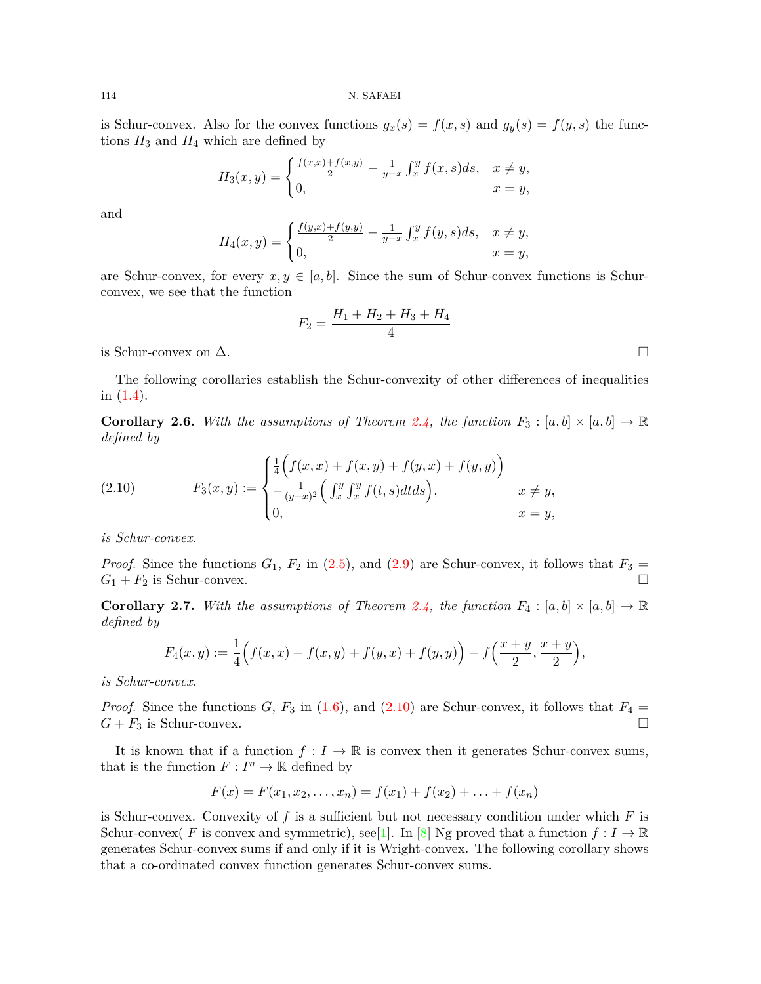114 N. SAFAEI

is Schur-convex. Also for the convex functions  $g_x(s) = f(x, s)$  and  $g_y(s) = f(y, s)$  the functions  $H_3$  and  $H_4$  which are defined by

$$
H_3(x,y) = \begin{cases} \frac{f(x,x) + f(x,y)}{2} - \frac{1}{y-x} \int_x^y f(x,s)ds, & x \neq y, \\ 0, & x = y, \end{cases}
$$

and

$$
H_4(x,y) = \begin{cases} \frac{f(y,x) + f(y,y)}{2} - \frac{1}{y-x} \int_x^y f(y,s)ds, & x \neq y, \\ 0, & x = y, \end{cases}
$$

are Schur-convex, for every  $x, y \in [a, b]$ . Since the sum of Schur-convex functions is Schurconvex, we see that the function

$$
F_2 = \frac{H_1 + H_2 + H_3 + H_4}{4}
$$

is Schur-convex on  $\Delta$ . □

The following corollaries establish the Schur-convexity of other differences of inequalities in ([1.4\)](#page-2-2).

**Corollary 2.6.** With the assumptions of Theorem [2.4](#page-6-3), the function  $F_3: [a, b] \times [a, b] \to \mathbb{R}$ *defined by*

<span id="page-9-0"></span>(2.10) 
$$
F_3(x,y) := \begin{cases} \frac{1}{4} \Big( f(x,x) + f(x,y) + f(y,x) + f(y,y) \Big) \\ -\frac{1}{(y-x)^2} \Big( \int_x^y \int_x^y f(t,s) dt ds \Big), & x \neq y, \\ 0, & x = y, \end{cases}
$$

*is Schur-convex.*

*Proof.* Since the functions  $G_1$ ,  $F_2$  in [\(2.5](#page-6-2)), and ([2.9\)](#page-8-0) are Schur-convex, it follows that  $F_3 =$  $G_1 + F_2$  is Schur-convex.  $\Box$ 

**Corollary 2.7.** With the assumptions of Theorem [2.4](#page-6-3), the function  $F_4: [a, b] \times [a, b] \to \mathbb{R}$ *defined by*

$$
F_4(x,y) := \frac{1}{4} \Big( f(x,x) + f(x,y) + f(y,x) + f(y,y) \Big) - f\Big( \frac{x+y}{2}, \frac{x+y}{2} \Big),
$$

*is Schur-convex.*

*Proof.* Since the functions *G*,  $F_3$  in [\(1.6](#page-3-2)), and [\(2.10\)](#page-9-0) are Schur-convex, it follows that  $F_4 =$  $G + F_3$  is Schur-convex. □

It is known that if a function  $f: I \to \mathbb{R}$  is convex then it generates Schur-convex sums, that is the function  $F: I^n \to \mathbb{R}$  defined by

$$
F(x) = F(x_1, x_2, \dots, x_n) = f(x_1) + f(x_2) + \dots + f(x_n)
$$

is Schur-convex. Convexity of *f* is a sufficient but not necessary condition under which *F* is Schur-convex( *F* is convex and symmetric), see[\[1](#page-12-4)]. In [\[8\]](#page-12-11) Ng proved that a function  $f: I \to \mathbb{R}$ generates Schur-convex sums if and only if it is Wright-convex. The following corollary shows that a co-ordinated convex function generates Schur-convex sums.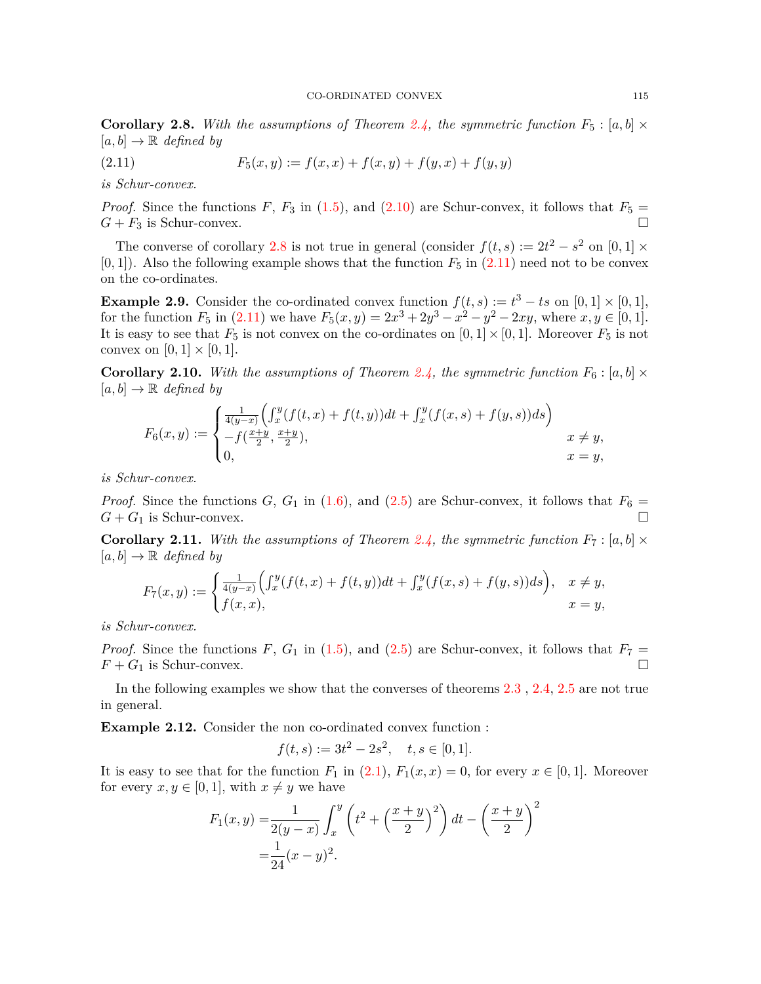<span id="page-10-0"></span>**Corollary 2.8.** With the assumptions of Theorem [2.4](#page-6-3), the symmetric function  $F_5: [a, b] \times$  $[a, b] \rightarrow \mathbb{R}$  *defined by* 

<span id="page-10-1"></span>(2.11) 
$$
F_5(x,y) := f(x,x) + f(x,y) + f(y,x) + f(y,y)
$$

*is Schur-convex.*

*Proof.* Since the functions *F*, *F*<sub>3</sub> in [\(1.5](#page-3-3)), and [\(2.10\)](#page-9-0) are Schur-convex, it follows that  $F_5 =$  $G + F_3$  is Schur-convex.

The converse of corollary [2.8](#page-10-0) is not true in general (consider  $f(t, s) := 2t^2 - s^2$  on [0, 1]  $\times$  $[0,1]$ . Also the following example shows that the function  $F_5$  in  $(2.11)$  $(2.11)$  $(2.11)$  need not to be convex on the co-ordinates.

**Example 2.9.** Consider the co-ordinated convex function  $f(t, s) := t^3 - ts$  on  $[0, 1] \times [0, 1]$ , for the function  $F_5$  in  $(2.11)$  we have  $F_5(x, y) = 2x^3 + 2y^3 - x^2 - y^2 - 2xy$ , where  $x, y \in [0, 1]$ . It is easy to see that  $F_5$  is not convex on the co-ordinates on  $[0, 1] \times [0, 1]$ . Moreover  $F_5$  is not convex on  $[0, 1] \times [0, 1]$ .

**Corollary 2.10.** With the assumptions of Theorem [2.4,](#page-6-3) the symmetric function  $F_6$ :  $[a, b] \times$  $[a, b] \rightarrow \mathbb{R}$  *defined by* 

$$
F_6(x,y) := \begin{cases} \frac{1}{4(y-x)} \Big( \int_x^y (f(t,x) + f(t,y)) dt + \int_x^y (f(x,s) + f(y,s)) ds \Big) \\ -f(\frac{x+y}{2}, \frac{x+y}{2}), & x \neq y, \\ 0, & x = y, \end{cases}
$$

*is Schur-convex.*

*Proof.* Since the functions *G*, *G*<sub>1</sub> in [\(1.6](#page-3-2)), and [\(2.5\)](#page-6-2) are Schur-convex, it follows that  $F_6 =$  $G + G_1$  is Schur-convex.

**Corollary 2.11.** With the assumptions of Theorem [2.4,](#page-6-3) the symmetric function  $F_7$ : [a, b]  $\times$  $[a, b] \rightarrow \mathbb{R}$  *defined by* 

$$
F_7(x,y) := \begin{cases} \frac{1}{4(y-x)} \Big( \int_x^y (f(t,x) + f(t,y)) dt + \int_x^y (f(x,s) + f(y,s)) ds \Big), & x \neq y, \\ f(x,x), & x = y, \end{cases}
$$

*is Schur-convex.*

*Proof.* Since the functions *F*,  $G_1$  in [\(1.5](#page-3-3)), and [\(2.5\)](#page-6-2) are Schur-convex, it follows that  $F_7 =$  $F + G_1$  is Schur-convex. □

In the following examples we show that the converses of theorems [2.3](#page-4-3) , [2.4,](#page-6-3) [2.5](#page-8-1) are not true in general.

**Example 2.12.** Consider the non co-ordinated convex function :

$$
f(t,s) := 3t^2 - 2s^2, \quad t, s \in [0,1].
$$

It is easy to see that for the function  $F_1$  in  $(2.1)$  $(2.1)$ ,  $F_1(x, x) = 0$ , for every  $x \in [0, 1]$ . Moreover for every  $x, y \in [0, 1]$ , with  $x \neq y$  we have

$$
F_1(x,y) = \frac{1}{2(y-x)} \int_x^y \left( t^2 + \left( \frac{x+y}{2} \right)^2 \right) dt - \left( \frac{x+y}{2} \right)^2
$$
  
=  $\frac{1}{24} (x-y)^2$ .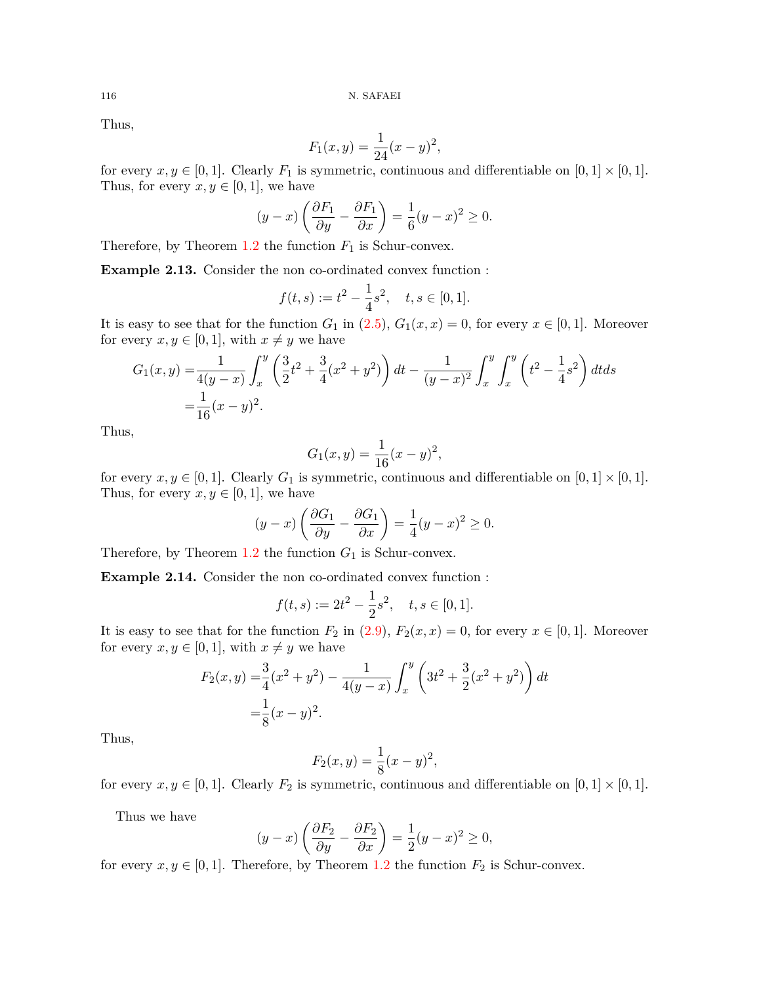$116 \hskip 1.6cm$  N. SAFAEI

Thus,

$$
F_1(x, y) = \frac{1}{24}(x - y)^2,
$$

for every  $x, y \in [0, 1]$ . Clearly  $F_1$  is symmetric, continuous and differentiable on  $[0, 1] \times [0, 1]$ . Thus, for every  $x, y \in [0, 1]$ , we have

$$
(y-x)\left(\frac{\partial F_1}{\partial y} - \frac{\partial F_1}{\partial x}\right) = \frac{1}{6}(y-x)^2 \ge 0.
$$

Therefore, by Theorem  $1.2$  the function  $F_1$  is Schur-convex.

**Example 2.13.** Consider the non co-ordinated convex function :

$$
f(t,s) := t^2 - \frac{1}{4}s^2, \quad t, s \in [0,1].
$$

It is easy to see that for the function  $G_1$  in  $(2.5)$  $(2.5)$ ,  $G_1(x, x) = 0$ , for every  $x \in [0, 1]$ . Moreover for every  $x, y \in [0, 1]$ , with  $x \neq y$  we have

$$
G_1(x,y) = \frac{1}{4(y-x)} \int_x^y \left(\frac{3}{2}t^2 + \frac{3}{4}(x^2+y^2)\right) dt - \frac{1}{(y-x)^2} \int_x^y \int_x^y \left(t^2 - \frac{1}{4}s^2\right) dt ds
$$
  
=  $\frac{1}{16}(x-y)^2$ .

Thus,

$$
G_1(x, y) = \frac{1}{16}(x - y)^2,
$$

for every  $x, y \in [0, 1]$ . Clearly  $G_1$  is symmetric, continuous and differentiable on  $[0, 1] \times [0, 1]$ . Thus, for every  $x, y \in [0, 1]$ , we have

$$
(y-x)\left(\frac{\partial G_1}{\partial y} - \frac{\partial G_1}{\partial x}\right) = \frac{1}{4}(y-x)^2 \ge 0.
$$

Therefore, by Theorem  $1.2$  the function  $G_1$  is Schur-convex.

**Example 2.14.** Consider the non co-ordinated convex function :

$$
f(t,s) := 2t^2 - \frac{1}{2}s^2, \quad t, s \in [0,1].
$$

It is easy to see that for the function  $F_2$  in [\(2.9](#page-8-0)),  $F_2(x, x) = 0$ , for every  $x \in [0, 1]$ . Moreover for every  $x, y \in [0, 1]$ , with  $x \neq y$  we have

$$
F_2(x,y) = \frac{3}{4}(x^2 + y^2) - \frac{1}{4(y-x)} \int_x^y \left(3t^2 + \frac{3}{2}(x^2 + y^2)\right) dt
$$
  
=  $\frac{1}{8}(x-y)^2$ .

Thus,

$$
F_2(x, y) = \frac{1}{8}(x - y)^2,
$$

for every  $x, y \in [0, 1]$ . Clearly  $F_2$  is symmetric, continuous and differentiable on  $[0, 1] \times [0, 1]$ .

Thus we have

$$
(y-x)\left(\frac{\partial F_2}{\partial y}-\frac{\partial F_2}{\partial x}\right)=\frac{1}{2}(y-x)^2\geq 0,
$$

for every  $x, y \in [0, 1]$ . Therefore, by Theorem [1.2](#page-1-1) the function  $F_2$  is Schur-convex.